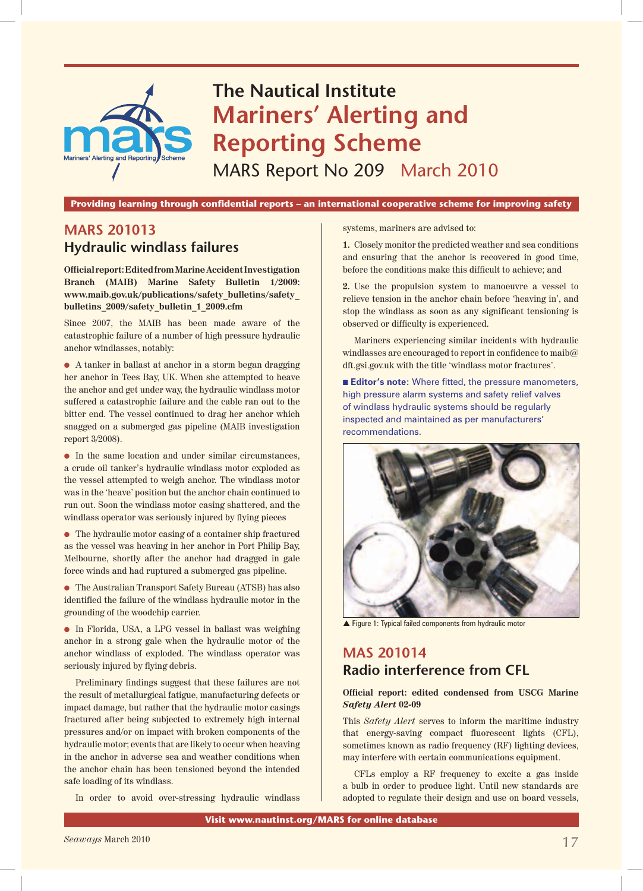

Providing learning through confidential reports - an international cooperative scheme for improving safety

## **MARS 201013 Hydraulic windlass failures**

**Official report: Edited from Marine Accident Investigation Branch (MAIB) Marine Safety Bulletin 1/2009: www.maib.gov.uk/publications/safety\_bulletins/safety\_ bulletins\_2009/safety\_bulletin\_1\_2009.cfm**

Since 2007, the MAIB has been made aware of the catastrophic failure of a number of high pressure hydraulic anchor windlasses, notably:

● A tanker in ballast at anchor in a storm began dragging her anchor in Tees Bay, UK. When she attempted to heave the anchor and get under way, the hydraulic windlass motor suffered a catastrophic failure and the cable ran out to the bitter end. The vessel continued to drag her anchor which snagged on a submerged gas pipeline (MAIB investigation report 3/2008).

● In the same location and under similar circumstances, a crude oil tanker's hydraulic windlass motor exploded as the vessel attempted to weigh anchor. The windlass motor was in the 'heave' position but the anchor chain continued to run out. Soon the windlass motor casing shattered, and the windlass operator was seriously injured by flying pieces

● The hydraulic motor casing of a container ship fractured as the vessel was heaving in her anchor in Port Philip Bay, Melbourne, shortly after the anchor had dragged in gale force winds and had ruptured a submerged gas pipeline.

● The Australian Transport Safety Bureau (ATSB) has also identified the failure of the windlass hydraulic motor in the grounding of the woodchip carrier.

● In Florida, USA, a LPG vessel in ballast was weighing anchor in a strong gale when the hydraulic motor of the anchor windlass of exploded. The windlass operator was seriously injured by flying debris.

Preliminary findings suggest that these failures are not the result of metallurgical fatigue, manufacturing defects or impact damage, but rather that the hydraulic motor casings fractured after being subjected to extremely high internal pressures and/or on impact with broken components of the hydraulic motor; events that are likely to occur when heaving in the anchor in adverse sea and weather conditions when the anchor chain has been tensioned beyond the intended safe loading of its windlass.

In order to avoid over-stressing hydraulic windlass

systems, mariners are advised to:

**1.** Closely monitor the predicted weather and sea conditions and ensuring that the anchor is recovered in good time, before the conditions make this difficult to achieve; and

**2.** Use the propulsion system to manoeuvre a vessel to relieve tension in the anchor chain before 'heaving in', and stop the windlass as soon as any significant tensioning is observed or difficulty is experienced.

Mariners experiencing similar incidents with hydraulic windlasses are encouraged to report in confidence to maib@ dft.gsi.gov.uk with the title 'windlass motor fractures'.

■ **Editor's note:** Where fitted, the pressure manometers, high pressure alarm systems and safety relief valves of windlass hydraulic systems should be regularly inspected and maintained as per manufacturers' recommendations.



▲ Figure 1: Typical failed components from hydraulic motor

## **MAS 201014 Radio interference from CFL**

#### **Official report: edited condensed from USCG Marine**  *Safety Alert* **02-09**

This *Safety Alert* serves to inform the maritime industry that energy-saving compact fluorescent lights (CFL), sometimes known as radio frequency (RF) lighting devices, may interfere with certain communications equipment.

CFLs employ a RF frequency to excite a gas inside a bulb in order to produce light. Until new standards are adopted to regulate their design and use on board vessels,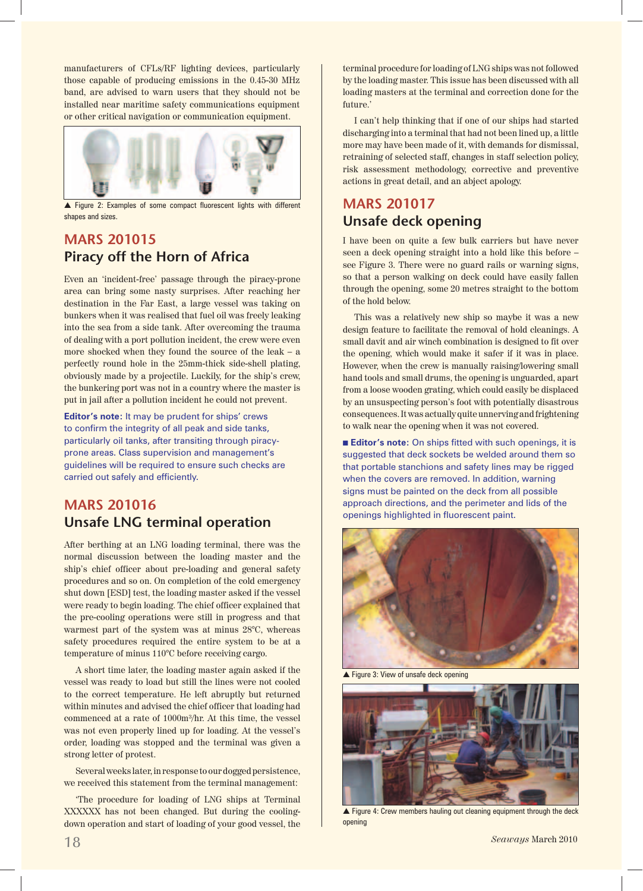manufacturers of CFLs/RF lighting devices, particularly those capable of producing emissions in the 0.45-30 MHz band, are advised to warn users that they should not be installed near maritime safety communications equipment or other critical navigation or communication equipment.



▲ Figure 2: Examples of some compact fluorescent lights with different shapes and sizes.

#### **MARS 201015 Piracy off the Horn of Africa**

Even an 'incident-free' passage through the piracy-prone area can bring some nasty surprises. After reaching her destination in the Far East, a large vessel was taking on bunkers when it was realised that fuel oil was freely leaking into the sea from a side tank. After overcoming the trauma of dealing with a port pollution incident, the crew were even more shocked when they found the source of the leak – a perfectly round hole in the 25mm-thick side-shell plating, obviously made by a projectile. Luckily, for the ship's crew, the bunkering port was not in a country where the master is put in jail after a pollution incident he could not prevent.

**Editor's note:** It may be prudent for ships' crews to confirm the integrity of all peak and side tanks, particularly oil tanks, after transiting through piracyprone areas. Class supervision and management's guidelines will be required to ensure such checks are carried out safely and efficiently.

## **MARS 201016 Unsafe LNG terminal operation**

After berthing at an LNG loading terminal, there was the normal discussion between the loading master and the ship's chief officer about pre-loading and general safety procedures and so on. On completion of the cold emergency shut down [ESD] test, the loading master asked if the vessel were ready to begin loading. The chief officer explained that the pre-cooling operations were still in progress and that warmest part of the system was at minus 28°C, whereas safety procedures required the entire system to be at a temperature of minus 110°C before receiving cargo.

A short time later, the loading master again asked if the vessel was ready to load but still the lines were not cooled to the correct temperature. He left abruptly but returned within minutes and advised the chief officer that loading had commenced at a rate of 1000m³/hr. At this time, the vessel was not even properly lined up for loading. At the vessel's order, loading was stopped and the terminal was given a strong letter of protest.

Several weeks later, in response to our dogged persistence, we received this statement from the terminal management:

'The procedure for loading of LNG ships at Terminal XXXXXX has not been changed. But during the coolingdown operation and start of loading of your good vessel, the

terminal procedure for loading of LNG ships was not followed by the loading master. This issue has been discussed with all loading masters at the terminal and correction done for the future.'

I can't help thinking that if one of our ships had started discharging into a terminal that had not been lined up, a little more may have been made of it, with demands for dismissal, retraining of selected staff, changes in staff selection policy, risk assessment methodology, corrective and preventive actions in great detail, and an abject apology.

## **MARS 201017 Unsafe deck opening**

I have been on quite a few bulk carriers but have never seen a deck opening straight into a hold like this before – see Figure 3. There were no guard rails or warning signs, so that a person walking on deck could have easily fallen through the opening, some 20 metres straight to the bottom of the hold below.

This was a relatively new ship so maybe it was a new design feature to facilitate the removal of hold cleanings. A small davit and air winch combination is designed to fit over the opening, which would make it safer if it was in place. However, when the crew is manually raising/lowering small hand tools and small drums, the opening is unguarded, apart from a loose wooden grating, which could easily be displaced by an unsuspecting person's foot with potentially disastrous consequences. It was actually quite unnerving and frightening to walk near the opening when it was not covered.

■ **Editor's note:** On ships fitted with such openings, it is suggested that deck sockets be welded around them so that portable stanchions and safety lines may be rigged when the covers are removed. In addition, warning signs must be painted on the deck from all possible approach directions, and the perimeter and lids of the openings highlighted in fluorescent paint.



▲ Figure 3: View of unsafe deck opening



▲ Figure 4: Crew members hauling out cleaning equipment through the deck opening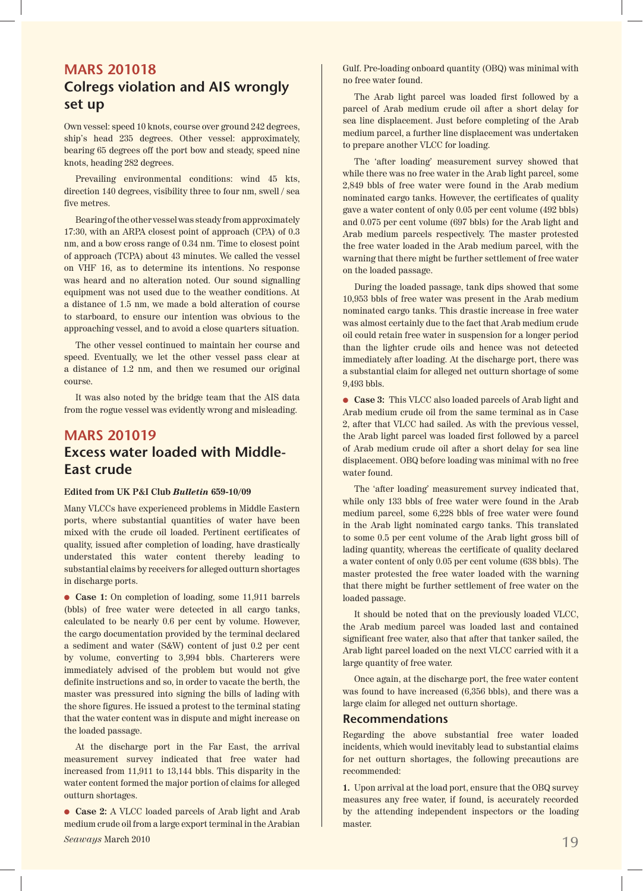#### **MARS 201018 Colregs violation and AIS wrongly set up**

Own vessel: speed 10 knots, course over ground 242 degrees, ship's head 235 degrees. Other vessel: approximately, bearing 65 degrees off the port bow and steady, speed nine knots, heading 282 degrees.

Prevailing environmental conditions: wind 45 kts, direction 140 degrees, visibility three to four nm, swell / sea five metres.

Bearing of the other vessel was steady from approximately 17:30, with an ARPA closest point of approach (CPA) of 0.3 nm, and a bow cross range of 0.34 nm. Time to closest point of approach (TCPA) about 43 minutes. We called the vessel on VHF 16, as to determine its intentions. No response was heard and no alteration noted. Our sound signalling equipment was not used due to the weather conditions. At a distance of 1.5 nm, we made a bold alteration of course to starboard, to ensure our intention was obvious to the approaching vessel, and to avoid a close quarters situation.

The other vessel continued to maintain her course and speed. Eventually, we let the other vessel pass clear at a distance of 1.2 nm, and then we resumed our original course.

It was also noted by the bridge team that the AIS data from the rogue vessel was evidently wrong and misleading.

## **MARS 201019 Excess water loaded with Middle-East crude**

#### **Edited from UK P&I Club** *Bulletin* **659-10/09**

Many VLCCs have experienced problems in Middle Eastern ports, where substantial quantities of water have been mixed with the crude oil loaded. Pertinent certificates of quality, issued after completion of loading, have drastically understated this water content thereby leading to substantial claims by receivers for alleged outturn shortages in discharge ports.

● **Case 1:** On completion of loading, some 11,911 barrels (bbls) of free water were detected in all cargo tanks, calculated to be nearly 0.6 per cent by volume. However, the cargo documentation provided by the terminal declared a sediment and water (S&W) content of just 0.2 per cent by volume, converting to 3,994 bbls. Charterers were immediately advised of the problem but would not give definite instructions and so, in order to vacate the berth, the master was pressured into signing the bills of lading with the shore figures. He issued a protest to the terminal stating that the water content was in dispute and might increase on the loaded passage.

At the discharge port in the Far East, the arrival measurement survey indicated that free water had increased from 11,911 to 13,144 bbls. This disparity in the water content formed the major portion of claims for alleged outturn shortages.

● **Case 2:** A VLCC loaded parcels of Arab light and Arab medium crude oil from a large export terminal in the Arabian Gulf. Pre-loading onboard quantity (OBQ) was minimal with no free water found.

The Arab light parcel was loaded first followed by a parcel of Arab medium crude oil after a short delay for sea line displacement. Just before completing of the Arab medium parcel, a further line displacement was undertaken to prepare another VLCC for loading.

The 'after loading' measurement survey showed that while there was no free water in the Arab light parcel, some 2,849 bbls of free water were found in the Arab medium nominated cargo tanks. However, the certificates of quality gave a water content of only 0.05 per cent volume (492 bbls) and 0.075 per cent volume (697 bbls) for the Arab light and Arab medium parcels respectively. The master protested the free water loaded in the Arab medium parcel, with the warning that there might be further settlement of free water on the loaded passage.

During the loaded passage, tank dips showed that some 10,953 bbls of free water was present in the Arab medium nominated cargo tanks. This drastic increase in free water was almost certainly due to the fact that Arab medium crude oil could retain free water in suspension for a longer period than the lighter crude oils and hence was not detected immediately after loading. At the discharge port, there was a substantial claim for alleged net outturn shortage of some 9,493 bbls.

● **Case 3:** This VLCC also loaded parcels of Arab light and Arab medium crude oil from the same terminal as in Case 2, after that VLCC had sailed. As with the previous vessel, the Arab light parcel was loaded first followed by a parcel of Arab medium crude oil after a short delay for sea line displacement. OBQ before loading was minimal with no free water found.

The 'after loading' measurement survey indicated that, while only 133 bbls of free water were found in the Arab medium parcel, some 6,228 bbls of free water were found in the Arab light nominated cargo tanks. This translated to some 0.5 per cent volume of the Arab light gross bill of lading quantity, whereas the certificate of quality declared a water content of only 0.05 per cent volume (638 bbls). The master protested the free water loaded with the warning that there might be further settlement of free water on the loaded passage.

It should be noted that on the previously loaded VLCC, the Arab medium parcel was loaded last and contained significant free water, also that after that tanker sailed, the Arab light parcel loaded on the next VLCC carried with it a large quantity of free water.

Once again, at the discharge port, the free water content was found to have increased (6,356 bbls), and there was a large claim for alleged net outturn shortage.

#### **Recommendations**

Regarding the above substantial free water loaded incidents, which would inevitably lead to substantial claims for net outturn shortages, the following precautions are recommended:

**1.** Upon arrival at the load port, ensure that the OBQ survey measures any free water, if found, is accurately recorded by the attending independent inspectors or the loading master.